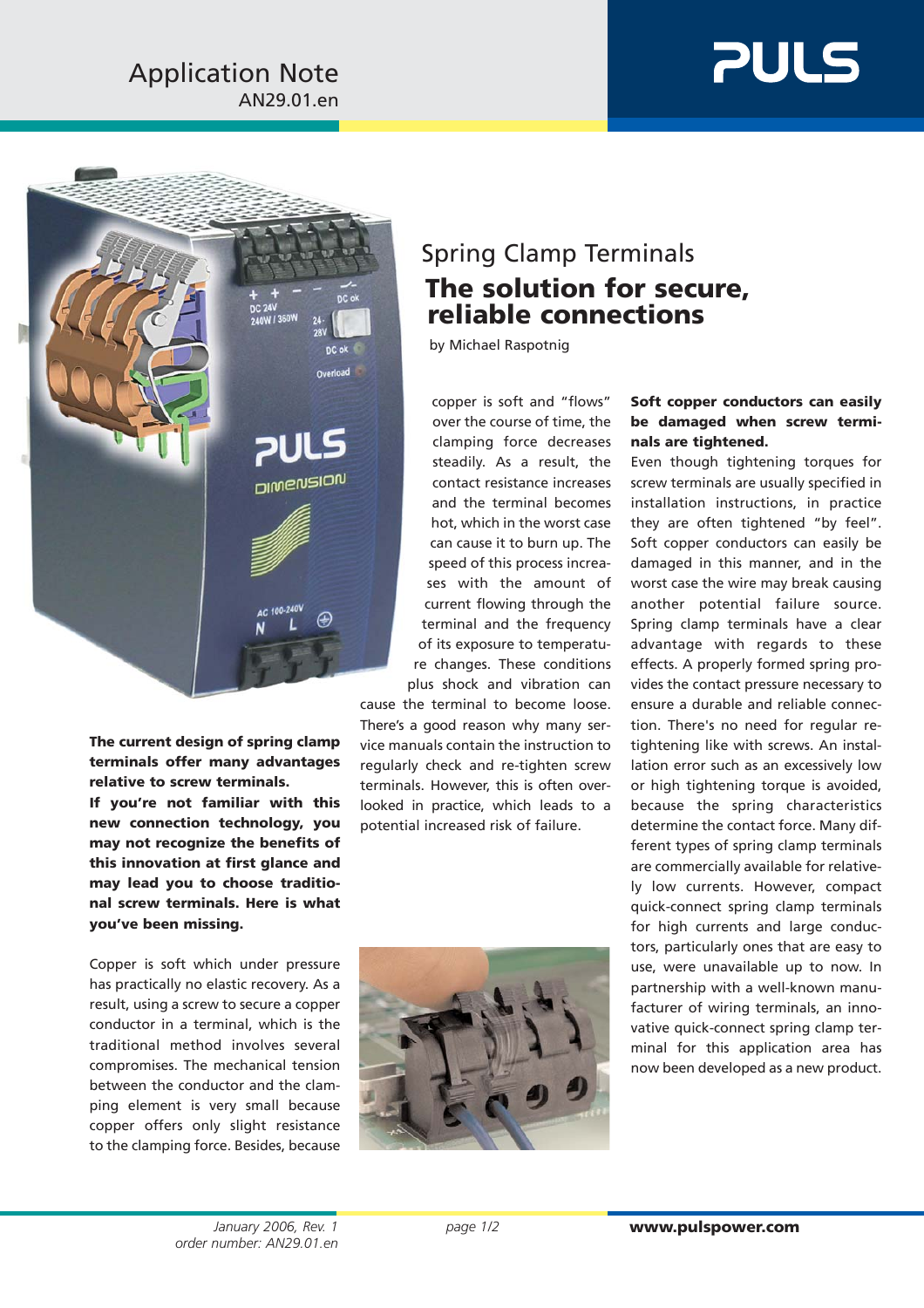# **PULS**



**The current design of spring clamp terminals offer many advantages relative to screw terminals.**

**If you're not familiar with this new connection technology, you may not recognize the benefits of this innovation at first glance and may lead you to choose traditional screw terminals. Here is what you've been missing.**

Copper is soft which under pressure has practically no elastic recovery. As a result, using a screw to secure a copper conductor in a terminal, which is the traditional method involves several compromises. The mechanical tension between the conductor and the clamping element is very small because copper offers only slight resistance to the clamping force. Besides, because

### Spring Clamp Terminals **The solution for secure, reliable connections**

by Michael Raspotnig

copper is soft and "flows" over the course of time, the clamping force decreases steadily. As a result, the contact resistance increases and the terminal becomes hot, which in the worst case can cause it to burn up. The speed of this process increases with the amount of current flowing through the terminal and the frequency of its exposure to temperature changes. These conditions plus shock and vibration can

cause the terminal to become loose. There's a good reason why many service manuals contain the instruction to regularly check and re-tighten screw terminals. However, this is often overlooked in practice, which leads to a potential increased risk of failure.



### **Soft copper conductors can easily be damaged when screw terminals are tightened.**

Even though tightening torques for screw terminals are usually specified in installation instructions, in practice they are often tightened "by feel". Soft copper conductors can easily be damaged in this manner, and in the worst case the wire may break causing another potential failure source. Spring clamp terminals have a clear advantage with regards to these effects. A properly formed spring provides the contact pressure necessary to ensure a durable and reliable connection. There's no need for regular retightening like with screws. An installation error such as an excessively low or high tightening torque is avoided, because the spring characteristics determine the contact force. Many different types of spring clamp terminals are commercially available for relatively low currents. However, compact quick-connect spring clamp terminals for high currents and large conductors, particularly ones that are easy to use, were unavailable up to now. In partnership with a well-known manufacturer of wiring terminals, an innovative quick-connect spring clamp terminal for this application area has now been developed as a new product.